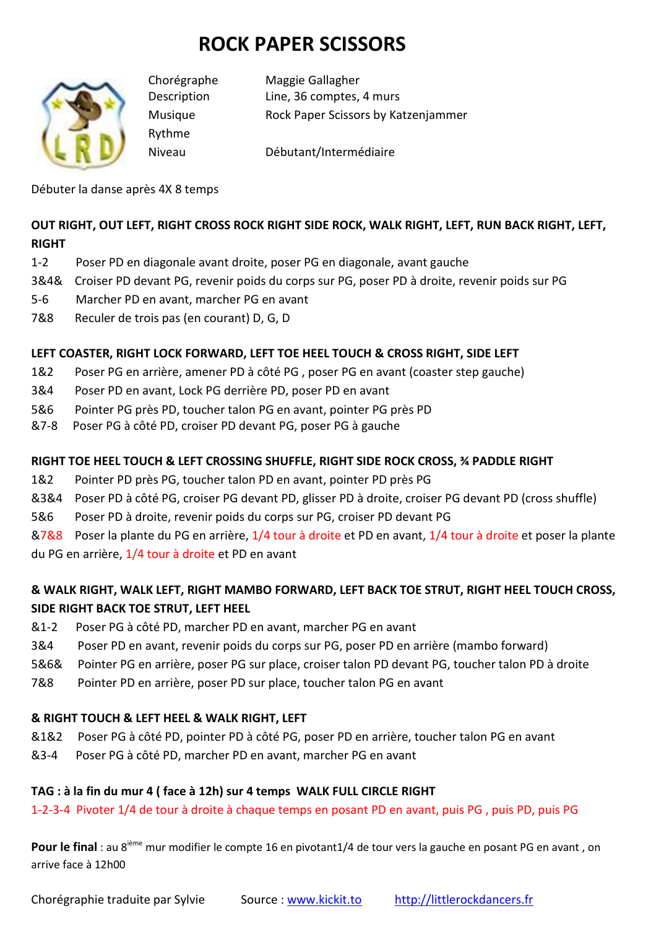# **ROCK PAPER SCISSORS**



Rythme

Chorégraphe Maggie Gallagher Description Line, 36 comptes, 4 murs Musique Rock Paper Scissors by Katzenjammer

Niveau Débutant/Intermédiaire

Débuter la danse après 4X 8 temps

## **OUT RIGHT, OUT LEFT, RIGHT CROSS ROCK RIGHT SIDE ROCK, WALK RIGHT, LEFT, RUN BACK RIGHT, LEFT, RIGHT**

- 1-2 Poser PD en diagonale avant droite, poser PG en diagonale, avant gauche
- 3&4& Croiser PD devant PG, revenir poids du corps sur PG, poser PD à droite, revenir poids sur PG
- 5-6 Marcher PD en avant, marcher PG en avant
- 7&8 Reculer de trois pas (en courant) D, G, D

## **LEFT COASTER, RIGHT LOCK FORWARD, LEFT TOE HEEL TOUCH & CROSS RIGHT, SIDE LEFT**

- 1&2 Poser PG en arrière, amener PD à côté PG , poser PG en avant (coaster step gauche)
- 3&4 Poser PD en avant, Lock PG derrière PD, poser PD en avant
- 5&6 Pointer PG près PD, toucher talon PG en avant, pointer PG près PD
- &7-8 Poser PG à côté PD, croiser PD devant PG, poser PG à gauche

#### **RIGHT TOE HEEL TOUCH & LEFT CROSSING SHUFFLE, RIGHT SIDE ROCK CROSS, ¾ PADDLE RIGHT**

- 1&2 Pointer PD près PG, toucher talon PD en avant, pointer PD près PG
- &3&4 Poser PD à côté PG, croiser PG devant PD, glisser PD à droite, croiser PG devant PD (cross shuffle)
- 5&6 Poser PD à droite, revenir poids du corps sur PG, croiser PD devant PG

&7&8 Poser la plante du PG en arrière, 1/4 tour à droite et PD en avant, 1/4 tour à droite et poser la plante du PG en arrière, 1/4 tour à droite et PD en avant

## **& WALK RIGHT, WALK LEFT, RIGHT MAMBO FORWARD, LEFT BACK TOE STRUT, RIGHT HEEL TOUCH CROSS, SIDE RIGHT BACK TOE STRUT, LEFT HEEL**

- &1-2 Poser PG à côté PD, marcher PD en avant, marcher PG en avant
- 3&4 Poser PD en avant, revenir poids du corps sur PG, poser PD en arrière (mambo forward)
- 5&6& Pointer PG en arrière, poser PG sur place, croiser talon PD devant PG, toucher talon PD à droite
- 7&8 Pointer PD en arrière, poser PD sur place, toucher talon PG en avant

## **& RIGHT TOUCH & LEFT HEEL & WALK RIGHT, LEFT**

- &1&2 Poser PG à côté PD, pointer PD à côté PG, poser PD en arrière, toucher talon PG en avant
- &3-4 Poser PG à côté PD, marcher PD en avant, marcher PG en avant

## **TAG : à la fin du mur 4 ( face à 12h) sur 4 temps WALK FULL CIRCLE RIGHT**

1-2-3-4 Pivoter 1/4 de tour à droite à chaque temps en posant PD en avant, puis PG , puis PD, puis PG

Pour le final : au 8<sup>ième</sup> mur modifier le compte 16 en pivotant1/4 de tour vers la gauche en posant PG en avant, on arrive face à 12h00

Chorégraphie traduite par Sylvie Source : www.kickit.to http://littlerockdancers.fr